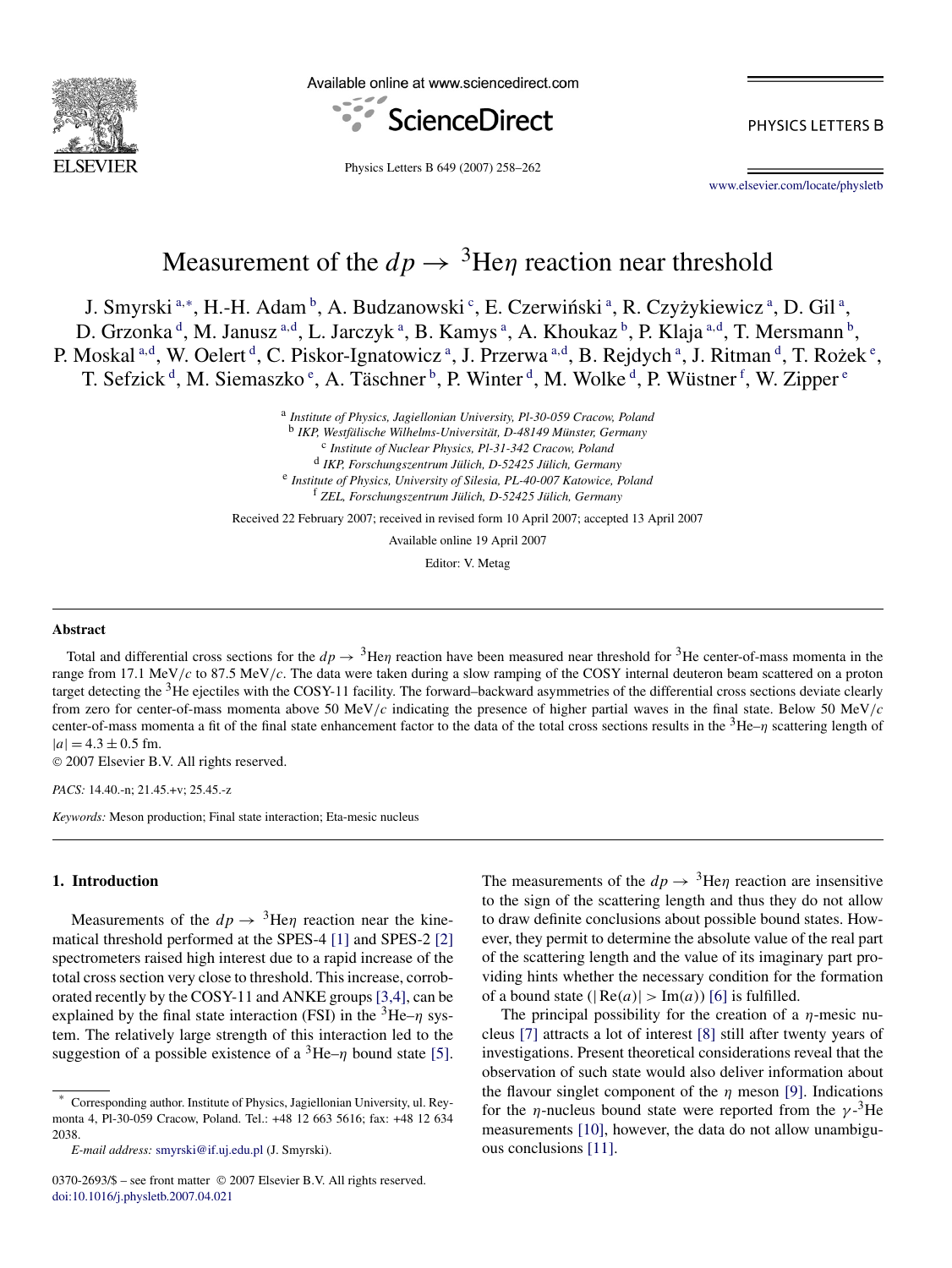

Available online at www.sciencedirect.com



PHYSICS LETTERS B

Physics Letters B 649 (2007) 258–262

[www.elsevier.com/locate/physletb](http://www.elsevier.com/locate/physletb)

# Measurement of the  $dp \rightarrow$ <sup>3</sup>He $\eta$  reaction near threshold

J. Smyrski<sup>a,∗</sup>, H.-H. Adam <sup>b</sup>, A. Budzanowski <sup>c</sup>, E. Czerwiński <sup>a</sup>, R. Czyżykiewicz <sup>a</sup>, D. Gil <sup>a</sup>, D. Grzonka <sup>d</sup>, M. Janusz <sup>a,d</sup>, L. Jarczyk <sup>a</sup>, B. Kamys <sup>a</sup>, A. Khoukaz <sup>b</sup>, P. Klaja <sup>a,d</sup>, T. Mersmann <sup>b</sup>, P. Moskal <sup>a,d</sup>, W. Oelert <sup>d</sup>, C. Piskor-Ignatowicz <sup>a</sup>, J. Przerwa <sup>a,d</sup>, B. Rejdych <sup>a</sup>, J. Ritman <sup>d</sup>, T. Rożek <sup>e</sup>, T. Sefzick<sup>d</sup>, M. Siemaszko<sup>e</sup>, A. Täschner<sup>b</sup>, P. Winter<sup>d</sup>, M. Wolke<sup>d</sup>, P. Wüstner<sup>f</sup>, W. Zipper<sup>e</sup>

> <sup>a</sup> *Institute of Physics, Jagiellonian University, Pl-30-059 Cracow, Poland* <sup>b</sup> *IKP, Westfälische Wilhelms-Universität, D-48149 Münster, Germany* <sup>c</sup> *Institute of Nuclear Physics, Pl-31-342 Cracow, Poland* <sup>d</sup> *IKP, Forschungszentrum Jülich, D-52425 Jülich, Germany* <sup>e</sup> *Institute of Physics, University of Silesia, PL-40-007 Katowice, Poland* <sup>f</sup> *ZEL, Forschungszentrum Jülich, D-52425 Jülich, Germany*

Received 22 February 2007; received in revised form 10 April 2007; accepted 13 April 2007

Available online 19 April 2007

Editor: V. Metag

## **Abstract**

Total and differential cross sections for the  $dp \to {}^3$ He $\eta$  reaction have been measured near threshold for <sup>3</sup>He center-of-mass momenta in the range from 17.1 MeV*/c* to 87.5 MeV*/c*. The data were taken during a slow ramping of the COSY internal deuteron beam scattered on a proton target detecting the  $3$ He ejectiles with the COSY-11 facility. The forward–backward asymmetries of the differential cross sections deviate clearly from zero for center-of-mass momenta above 50 MeV*/c* indicating the presence of higher partial waves in the final state. Below 50 MeV*/c* center-of-mass momenta a fit of the final state enhancement factor to the data of the total cross sections results in the 3He–*η* scattering length of  $|a| = 4.3 \pm 0.5$  fm.

© 2007 Elsevier B.V. All rights reserved.

*PACS:* 14.40.-n; 21.45.+v; 25.45.-z

*Keywords:* Meson production; Final state interaction; Eta-mesic nucleus

## **1. Introduction**

Measurements of the  $dp \rightarrow$ <sup>3</sup>He*n* reaction near the kinematical threshold performed at the SPES-4 [\[1\]](#page-4-0) and SPES-2 [\[2\]](#page-4-0) spectrometers raised high interest due to a rapid increase of the total cross section very close to threshold. This increase, corroborated recently by the COSY-11 and ANKE groups[\[3,4\],](#page-4-0) can be explained by the final state interaction (FSI) in the  ${}^{3}$ He– $\eta$  system. The relatively large strength of this interaction led to the suggestion of a possible existence of a  ${}^{3}$ He–*η* bound state [\[5\].](#page-4-0) The measurements of the  $dp \rightarrow$ <sup>3</sup>He $\eta$  reaction are insensitive to the sign of the scattering length and thus they do not allow to draw definite conclusions about possible bound states. However, they permit to determine the absolute value of the real part of the scattering length and the value of its imaginary part providing hints whether the necessary condition for the formation of a bound state  $(|Re(a)| > Im(a))$  [\[6\]](#page-4-0) is fulfilled.

The principal possibility for the creation of a *η*-mesic nucleus [\[7\]](#page-4-0) attracts a lot of interest [\[8\]](#page-4-0) still after twenty years of investigations. Present theoretical considerations reveal that the observation of such state would also deliver information about the flavour singlet component of the *η* meson [\[9\].](#page-4-0) Indications for the *η*-nucleus bound state were reported from the  $\gamma$ -<sup>3</sup>He measurements [\[10\],](#page-4-0) however, the data do not allow unambiguous conclusions [\[11\].](#page-4-0)

<sup>\*</sup> Corresponding author. Institute of Physics, Jagiellonian University, ul. Reymonta 4, Pl-30-059 Cracow, Poland. Tel.: +48 12 663 5616; fax: +48 12 634 2038.

*E-mail address:* [smyrski@if.uj.edu.pl](mailto:smyrski@if.uj.edu.pl) (J. Smyrski).

<sup>0370-2693/\$ –</sup> see front matter © 2007 Elsevier B.V. All rights reserved. [doi:10.1016/j.physletb.2007.04.021](http://dx.doi.org/10.1016/j.physletb.2007.04.021)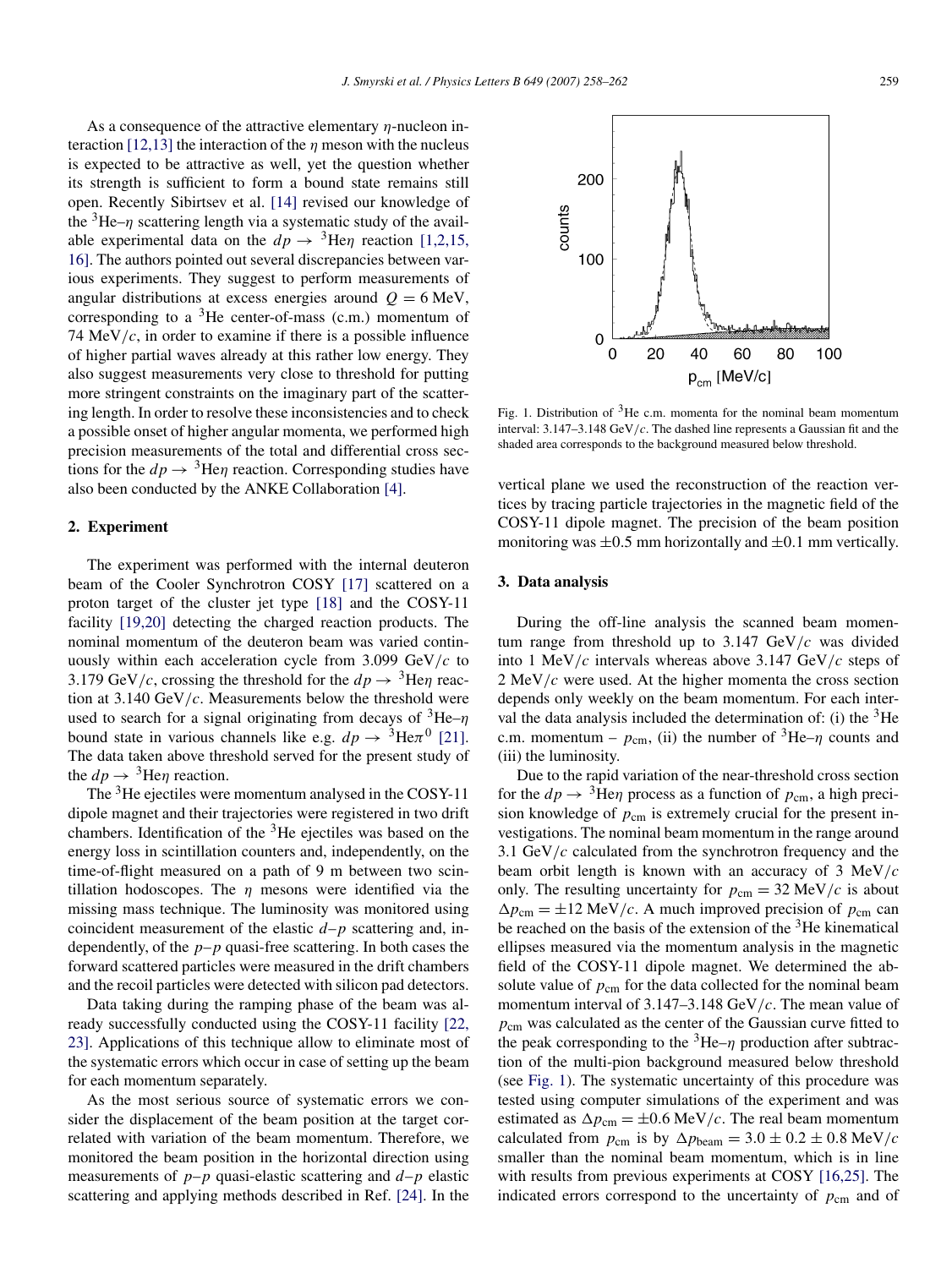As a consequence of the attractive elementary *η*-nucleon interaction [\[12,13\]](#page-4-0) the interaction of the *η* meson with the nucleus is expected to be attractive as well, yet the question whether its strength is sufficient to form a bound state remains still open. Recently Sibirtsev et al. [\[14\]](#page-4-0) revised our knowledge of the  ${}^{3}$ He–*η* scattering length via a systematic study of the available experimental data on the  $dp \rightarrow$ <sup>3</sup>He $\eta$  reaction [\[1,2,15,](#page-4-0) [16\].](#page-4-0) The authors pointed out several discrepancies between various experiments. They suggest to perform measurements of angular distributions at excess energies around  $Q = 6$  MeV, corresponding to a  ${}^{3}$ He center-of-mass (c.m.) momentum of 74 MeV*/c*, in order to examine if there is a possible influence of higher partial waves already at this rather low energy. They also suggest measurements very close to threshold for putting more stringent constraints on the imaginary part of the scattering length. In order to resolve these inconsistencies and to check a possible onset of higher angular momenta, we performed high precision measurements of the total and differential cross sections for the  $dp \rightarrow$ <sup>3</sup>He $\eta$  reaction. Corresponding studies have also been conducted by the ANKE Collaboration [\[4\].](#page-4-0)

## **2. Experiment**

The experiment was performed with the internal deuteron beam of the Cooler Synchrotron COSY [\[17\]](#page-4-0) scattered on a proton target of the cluster jet type [\[18\]](#page-4-0) and the COSY-11 facility [\[19,20\]](#page-4-0) detecting the charged reaction products. The nominal momentum of the deuteron beam was varied continuously within each acceleration cycle from 3.099 GeV*/c* to 3.179 GeV/c, crossing the threshold for the  $dp \rightarrow$ <sup>3</sup>He*n* reaction at 3.140 GeV*/c*. Measurements below the threshold were used to search for a signal originating from decays of 3He–*η* bound state in various channels like e.g.  $dp \rightarrow {}^{3}He\pi {}^{0}$  [\[21\].](#page-4-0) The data taken above threshold served for the present study of the  $dp \rightarrow$ <sup>3</sup>He $\eta$  reaction.

The <sup>3</sup>He ejectiles were momentum analysed in the COSY-11 dipole magnet and their trajectories were registered in two drift chambers. Identification of the  ${}^{3}$ He ejectiles was based on the energy loss in scintillation counters and, independently, on the time-of-flight measured on a path of 9 m between two scintillation hodoscopes. The *η* mesons were identified via the missing mass technique. The luminosity was monitored using coincident measurement of the elastic *d*–*p* scattering and, independently, of the *p*–*p* quasi-free scattering. In both cases the forward scattered particles were measured in the drift chambers and the recoil particles were detected with silicon pad detectors.

Data taking during the ramping phase of the beam was already successfully conducted using the COSY-11 facility [\[22,](#page-4-0) [23\].](#page-4-0) Applications of this technique allow to eliminate most of the systematic errors which occur in case of setting up the beam for each momentum separately.

As the most serious source of systematic errors we consider the displacement of the beam position at the target correlated with variation of the beam momentum. Therefore, we monitored the beam position in the horizontal direction using measurements of  $p-p$  quasi-elastic scattering and  $d-p$  elastic scattering and applying methods described in Ref. [\[24\].](#page-4-0) In the



Fig. 1. Distribution of  $3$ He c.m. momenta for the nominal beam momentum interval: 3.147–3.148 GeV*/c*. The dashed line represents a Gaussian fit and the shaded area corresponds to the background measured below threshold.

vertical plane we used the reconstruction of the reaction vertices by tracing particle trajectories in the magnetic field of the COSY-11 dipole magnet. The precision of the beam position monitoring was  $\pm 0.5$  mm horizontally and  $\pm 0.1$  mm vertically.

## **3. Data analysis**

During the off-line analysis the scanned beam momentum range from threshold up to 3.147 GeV*/c* was divided into 1 MeV*/c* intervals whereas above 3.147 GeV*/c* steps of 2 MeV*/c* were used. At the higher momenta the cross section depends only weekly on the beam momentum. For each interval the data analysis included the determination of: (i) the  ${}^{3}$ He c.m. momentum –  $p_{cm}$ , (ii) the number of <sup>3</sup>He– $\eta$  counts and (iii) the luminosity.

Due to the rapid variation of the near-threshold cross section for the  $dp \rightarrow$ <sup>3</sup>He $\eta$  process as a function of  $p_{cm}$ , a high precision knowledge of  $p_{\text{cm}}$  is extremely crucial for the present investigations. The nominal beam momentum in the range around 3.1 GeV*/c* calculated from the synchrotron frequency and the beam orbit length is known with an accuracy of 3 MeV*/c* only. The resulting uncertainty for  $p_{cm} = 32 \text{ MeV}/c$  is about  $\Delta p_{\text{cm}} = \pm 12 \text{ MeV}/c$ . A much improved precision of  $p_{\text{cm}}$  can be reached on the basis of the extension of the  $3$ He kinematical ellipses measured via the momentum analysis in the magnetic field of the COSY-11 dipole magnet. We determined the absolute value of  $p_{\text{cm}}$  for the data collected for the nominal beam momentum interval of 3.147–3.148 GeV*/c*. The mean value of *p*cm was calculated as the center of the Gaussian curve fitted to the peak corresponding to the  ${}^{3}$ He–*η* production after subtraction of the multi-pion background measured below threshold (see Fig. 1). The systematic uncertainty of this procedure was tested using computer simulations of the experiment and was estimated as  $\Delta p_{\text{cm}} = \pm 0.6 \text{ MeV}/c$ . The real beam momentum calculated from  $p_{cm}$  is by  $\Delta p_{beam} = 3.0 \pm 0.2 \pm 0.8$  MeV/c smaller than the nominal beam momentum, which is in line with results from previous experiments at COSY [\[16,25\].](#page-4-0) The indicated errors correspond to the uncertainty of  $p_{\text{cm}}$  and of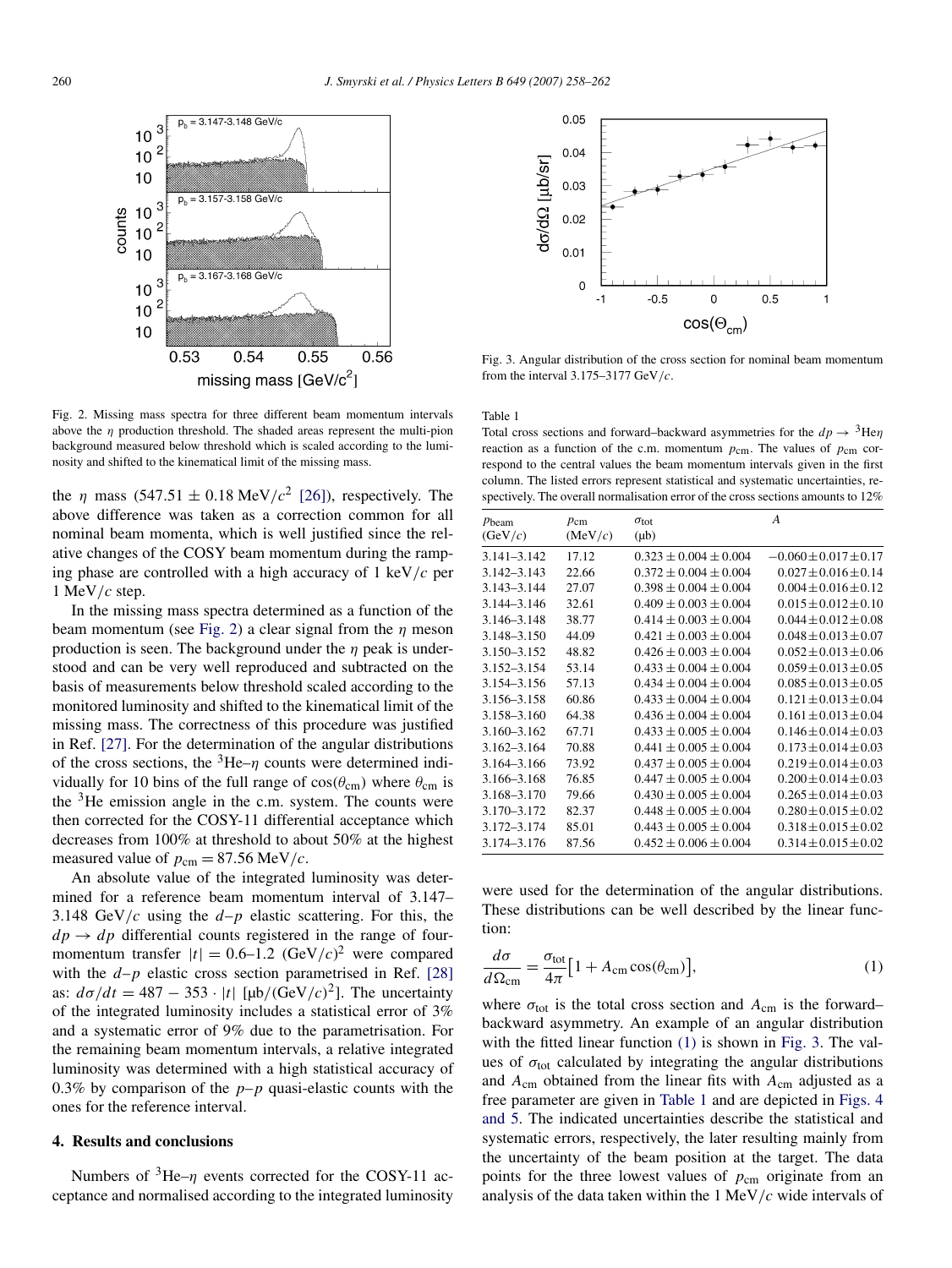

Fig. 2. Missing mass spectra for three different beam momentum intervals above the *η* production threshold. The shaded areas represent the multi-pion background measured below threshold which is scaled according to the luminosity and shifted to the kinematical limit of the missing mass.

the *η* mass  $(547.51 \pm 0.18 \text{ MeV}/c^2)$  [\[26\]\)](#page-4-0), respectively. The above difference was taken as a correction common for all nominal beam momenta, which is well justified since the relative changes of the COSY beam momentum during the ramping phase are controlled with a high accuracy of 1 keV*/c* per 1 MeV*/c* step.

In the missing mass spectra determined as a function of the beam momentum (see Fig. 2) a clear signal from the *η* meson production is seen. The background under the *η* peak is understood and can be very well reproduced and subtracted on the basis of measurements below threshold scaled according to the monitored luminosity and shifted to the kinematical limit of the missing mass. The correctness of this procedure was justified in Ref. [\[27\].](#page-4-0) For the determination of the angular distributions of the cross sections, the  ${}^{3}$ He– $\eta$  counts were determined individually for 10 bins of the full range of  $cos(\theta_{cm})$  where  $\theta_{cm}$  is the  $3$ He emission angle in the c.m. system. The counts were then corrected for the COSY-11 differential acceptance which decreases from 100% at threshold to about 50% at the highest measured value of  $p_{cm} = 87.56$  MeV/c.

An absolute value of the integrated luminosity was determined for a reference beam momentum interval of 3.147– 3.148 GeV/c using the  $d-p$  elastic scattering. For this, the  $dp \rightarrow dp$  differential counts registered in the range of fourmomentum transfer  $|t| = 0.6{\text{--}}1.2 \text{ (GeV/}c)^2$  were compared with the  $d-p$  elastic cross section parametrised in Ref. [\[28\]](#page-4-0) as:  $d\sigma/dt = 487 - 353 \cdot |t| [\mu b/(GeV/c)^2]$ . The uncertainty of the integrated luminosity includes a statistical error of 3% and a systematic error of 9% due to the parametrisation. For the remaining beam momentum intervals, a relative integrated luminosity was determined with a high statistical accuracy of 0.3% by comparison of the  $p-p$  quasi-elastic counts with the ones for the reference interval.

## **4. Results and conclusions**

Numbers of 3He–*η* events corrected for the COSY-11 acceptance and normalised according to the integrated luminosity



Fig. 3. Angular distribution of the cross section for nominal beam momentum from the interval 3.175–3177 GeV*/c*.

Table 1

Total cross sections and forward–backward asymmetries for the  $dp \rightarrow$ <sup>3</sup>He $\eta$ reaction as a function of the c.m. momentum  $p_{cm}$ . The values of  $p_{cm}$  correspond to the central values the beam momentum intervals given in the first column. The listed errors represent statistical and systematic uncertainties, respectively. The overall normalisation error of the cross sections amounts to 12%

| $p_{\text{beam}}$<br>(GeV/c) | $p_{cm}$<br>(MeV/c) | $\sigma_{\rm tot}$<br>$(\mu b)$ | A                           |
|------------------------------|---------------------|---------------------------------|-----------------------------|
| $3.141 - 3.142$              | 17.12               | $0.323 \pm 0.004 \pm 0.004$     | $-0.060 \pm 0.017 \pm 0.17$ |
| $3.142 - 3.143$              | 22.66               | $0.372 \pm 0.004 \pm 0.004$     | $0.027 \pm 0.016 \pm 0.14$  |
| $3.143 - 3.144$              | 27.07               | $0.398 \pm 0.004 \pm 0.004$     | $0.004 \pm 0.016 \pm 0.12$  |
| 3.144-3.146                  | 32.61               | $0.409 \pm 0.003 \pm 0.004$     | $0.015 \pm 0.012 \pm 0.10$  |
| 3.146-3.148                  | 38.77               | $0.414 \pm 0.003 \pm 0.004$     | $0.044 \pm 0.012 \pm 0.08$  |
| 3.148-3.150                  | 44.09               | $0.421 \pm 0.003 \pm 0.004$     | $0.048 \pm 0.013 \pm 0.07$  |
| 3.150-3.152                  | 48.82               | $0.426 \pm 0.003 \pm 0.004$     | $0.052 \pm 0.013 \pm 0.06$  |
| 3.152-3.154                  | 53.14               | $0.433 \pm 0.004 \pm 0.004$     | $0.059 \pm 0.013 \pm 0.05$  |
| 3.154-3.156                  | 57.13               | $0.434 \pm 0.004 \pm 0.004$     | $0.085 \pm 0.013 \pm 0.05$  |
| 3.156-3.158                  | 60.86               | $0.433 \pm 0.004 \pm 0.004$     | $0.121 \pm 0.013 \pm 0.04$  |
| 3.158-3.160                  | 64.38               | $0.436 \pm 0.004 \pm 0.004$     | $0.161 \pm 0.013 \pm 0.04$  |
| $3.160 - 3.162$              | 67.71               | $0.433 \pm 0.005 \pm 0.004$     | $0.146 \pm 0.014 \pm 0.03$  |
| 3.162-3.164                  | 70.88               | $0.441 \pm 0.005 \pm 0.004$     | $0.173 \pm 0.014 \pm 0.03$  |
| 3.164-3.166                  | 73.92               | $0.437 \pm 0.005 \pm 0.004$     | $0.219 \pm 0.014 \pm 0.03$  |
| 3.166-3.168                  | 76.85               | $0.447 \pm 0.005 \pm 0.004$     | $0.200 \pm 0.014 \pm 0.03$  |
| 3.168-3.170                  | 79.66               | $0.430 \pm 0.005 \pm 0.004$     | $0.265 \pm 0.014 \pm 0.03$  |
| 3.170-3.172                  | 82.37               | $0.448 \pm 0.005 \pm 0.004$     | $0.280 \pm 0.015 \pm 0.02$  |
| 3.172-3.174                  | 85.01               | $0.443 \pm 0.005 \pm 0.004$     | $0.318 \pm 0.015 \pm 0.02$  |
| 3.174-3.176                  | 87.56               | $0.452 \pm 0.006 \pm 0.004$     | $0.314 \pm 0.015 \pm 0.02$  |
|                              |                     |                                 |                             |

were used for the determination of the angular distributions. These distributions can be well described by the linear function:

$$
\frac{d\sigma}{d\Omega_{\rm cm}} = \frac{\sigma_{\rm tot}}{4\pi} \left[ 1 + A_{\rm cm} \cos(\theta_{\rm cm}) \right],\tag{1}
$$

where  $\sigma_{\text{tot}}$  is the total cross section and  $A_{\text{cm}}$  is the forward– backward asymmetry. An example of an angular distribution with the fitted linear function (1) is shown in Fig. 3. The values of  $\sigma_{tot}$  calculated by integrating the angular distributions and *A*cm obtained from the linear fits with *A*cm adjusted as a free parameter are given in Table 1 and are depicted in [Figs. 4](#page-3-0) [and 5.](#page-3-0) The indicated uncertainties describe the statistical and systematic errors, respectively, the later resulting mainly from the uncertainty of the beam position at the target. The data points for the three lowest values of  $p_{cm}$  originate from an analysis of the data taken within the 1 MeV*/c* wide intervals of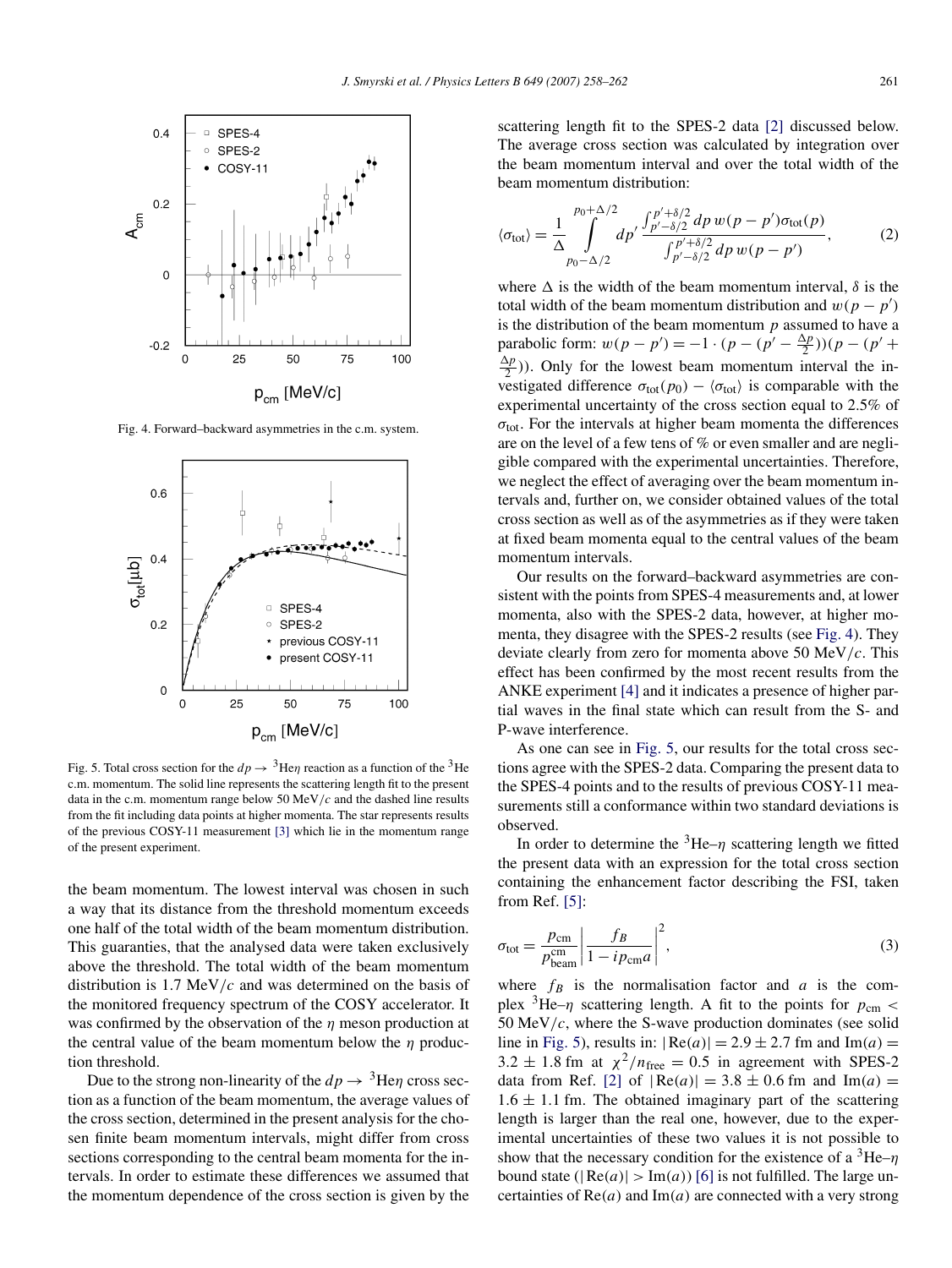<span id="page-3-0"></span>

Fig. 4. Forward–backward asymmetries in the c.m. system.



Fig. 5. Total cross section for the  $dp \rightarrow$ <sup>3</sup>He $\eta$  reaction as a function of the <sup>3</sup>He c.m. momentum. The solid line represents the scattering length fit to the present data in the c.m. momentum range below 50 MeV*/c* and the dashed line results from the fit including data points at higher momenta. The star represents results of the previous COSY-11 measurement [\[3\]](#page-4-0) which lie in the momentum range of the present experiment.

the beam momentum. The lowest interval was chosen in such a way that its distance from the threshold momentum exceeds one half of the total width of the beam momentum distribution. This guaranties, that the analysed data were taken exclusively above the threshold. The total width of the beam momentum distribution is 1.7 MeV*/c* and was determined on the basis of the monitored frequency spectrum of the COSY accelerator. It was confirmed by the observation of the *η* meson production at the central value of the beam momentum below the *η* production threshold.

Due to the strong non-linearity of the  $dp \to {}^{3}$ He $\eta$  cross section as a function of the beam momentum, the average values of the cross section, determined in the present analysis for the chosen finite beam momentum intervals, might differ from cross sections corresponding to the central beam momenta for the intervals. In order to estimate these differences we assumed that the momentum dependence of the cross section is given by the scattering length fit to the SPES-2 data [\[2\]](#page-4-0) discussed below. The average cross section was calculated by integration over the beam momentum interval and over the total width of the beam momentum distribution:

$$
\langle \sigma_{\text{tot}} \rangle = \frac{1}{\Delta} \int_{p_0 - \Delta/2}^{p_0 + \Delta/2} dp' \frac{\int_{p' - \delta/2}^{p' + \delta/2} dp \, w(p - p') \sigma_{\text{tot}}(p)}{\int_{p' - \delta/2}^{p' + \delta/2} dp \, w(p - p')},\tag{2}
$$

where  $\Delta$  is the width of the beam momentum interval,  $\delta$  is the total width of the beam momentum distribution and  $w(p - p')$ is the distribution of the beam momentum *p* assumed to have a parabolic form:  $w(p - p') = -1 \cdot (p - (p' - \frac{\Delta p}{2}))(p - (p' +$  $\frac{\Delta p}{2}$ )). Only for the lowest beam momentum interval the investigated difference  $\sigma_{tot}(p_0) - \langle \sigma_{tot} \rangle$  is comparable with the experimental uncertainty of the cross section equal to 2.5% of  $\sigma_{\text{tot}}$ . For the intervals at higher beam momenta the differences are on the level of a few tens of % or even smaller and are negligible compared with the experimental uncertainties. Therefore, we neglect the effect of averaging over the beam momentum intervals and, further on, we consider obtained values of the total cross section as well as of the asymmetries as if they were taken at fixed beam momenta equal to the central values of the beam momentum intervals.

Our results on the forward–backward asymmetries are consistent with the points from SPES-4 measurements and, at lower momenta, also with the SPES-2 data, however, at higher momenta, they disagree with the SPES-2 results (see Fig. 4). They deviate clearly from zero for momenta above 50 MeV*/c*. This effect has been confirmed by the most recent results from the ANKE experiment [\[4\]](#page-4-0) and it indicates a presence of higher partial waves in the final state which can result from the S- and P-wave interference.

As one can see in Fig. 5, our results for the total cross sections agree with the SPES-2 data. Comparing the present data to the SPES-4 points and to the results of previous COSY-11 measurements still a conformance within two standard deviations is observed.

In order to determine the  ${}^{3}$ He– $\eta$  scattering length we fitted the present data with an expression for the total cross section containing the enhancement factor describing the FSI, taken from Ref. [\[5\]:](#page-4-0)

$$
\sigma_{\text{tot}} = \frac{p_{\text{cm}}}{p_{\text{beam}}^{\text{cm}}} \left| \frac{f_B}{1 - i p_{\text{cm}} a} \right|^2,\tag{3}
$$

where  $f_B$  is the normalisation factor and  $a$  is the complex  ${}^{3}$ He–*η* scattering length. A fit to the points for  $p_{cm}$  < 50 MeV*/c*, where the S-wave production dominates (see solid line in Fig. 5), results in:  $|Re(a)| = 2.9 \pm 2.7$  fm and Im(a) =  $3.2 \pm 1.8$  fm at  $\chi^2/n_{\text{free}} = 0.5$  in agreement with SPES-2 data from Ref. [\[2\]](#page-4-0) of  $|Re(a)| = 3.8 \pm 0.6$  fm and  $Im(a) =$  $1.6 \pm 1.1$  fm. The obtained imaginary part of the scattering length is larger than the real one, however, due to the experimental uncertainties of these two values it is not possible to show that the necessary condition for the existence of a 3He–*η* bound state ( $|Re(a)| > Im(a)$ ) [\[6\]](#page-4-0) is not fulfilled. The large uncertainties of Re*(a)* and Im*(a)* are connected with a very strong